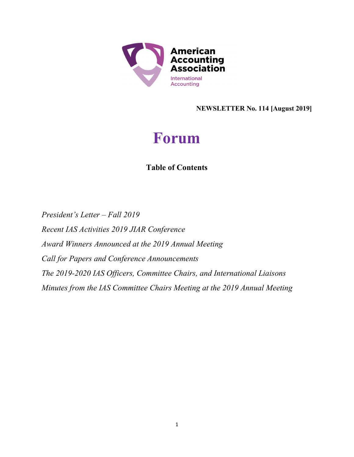

NEWSLETTER No. 114 [August 2019]

# Forum

# Table of Contents

President's Letter – Fall 2019 Recent IAS Activities 2019 JIAR Conference Award Winners Announced at the 2019 Annual Meeting Call for Papers and Conference Announcements The 2019-2020 IAS Officers, Committee Chairs, and International Liaisons Minutes from the IAS Committee Chairs Meeting at the 2019 Annual Meeting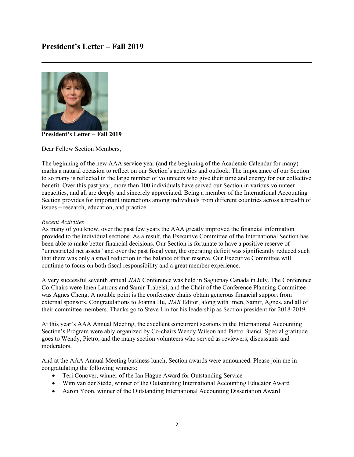

President's Letter – Fall 2019

Dear Fellow Section Members,

The beginning of the new AAA service year (and the beginning of the Academic Calendar for many) marks a natural occasion to reflect on our Section's activities and outlook. The importance of our Section to so many is reflected in the large number of volunteers who give their time and energy for our collective benefit. Over this past year, more than 100 individuals have served our Section in various volunteer capacities, and all are deeply and sincerely appreciated. Being a member of the International Accounting Section provides for important interactions among individuals from different countries across a breadth of issues – research, education, and practice.

#### Recent Activities

As many of you know, over the past few years the AAA greatly improved the financial information provided to the individual sections. As a result, the Executive Committee of the International Section has been able to make better financial decisions. Our Section is fortunate to have a positive reserve of "unrestricted net assets" and over the past fiscal year, the operating deficit was significantly reduced such that there was only a small reduction in the balance of that reserve. Our Executive Committee will continue to focus on both fiscal responsibility and a great member experience.

A very successful seventh annual JIAR Conference was held in Saguenay Canada in July. The Conference Co-Chairs were Imen Latrous and Samir Trabelsi, and the Chair of the Conference Planning Committee was Agnes Cheng. A notable point is the conference chairs obtain generous financial support from external sponsors. Congratulations to Joanna Hu, JIAR Editor, along with Imen, Samir, Agnes, and all of their committee members. Thanks go to Steve Lin for his leadership as Section president for 2018-2019.

At this year's AAA Annual Meeting, the excellent concurrent sessions in the International Accounting Section's Program were ably organized by Co-chairs Wendy Wilson and Pietro Bianci. Special gratitude goes to Wendy, Pietro, and the many section volunteers who served as reviewers, discussants and moderators.

And at the AAA Annual Meeting business lunch, Section awards were announced. Please join me in congratulating the following winners:

- Teri Conover, winner of the Ian Hague Award for Outstanding Service
- Wim van der Stede, winner of the Outstanding International Accounting Educator Award
- Aaron Yoon, winner of the Outstanding International Accounting Dissertation Award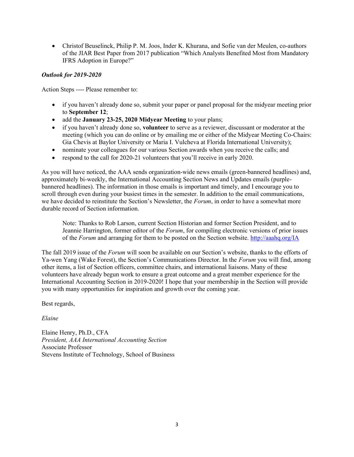Christof Beuselinck, Philip P. M. Joos, Inder K. Khurana, and Sofie van der Meulen, co-authors of the JIAR Best Paper from 2017 publication "Which Analysts Benefited Most from Mandatory IFRS Adoption in Europe?"

#### Outlook for 2019-2020

Action Steps ---- Please remember to:

- if you haven't already done so, submit your paper or panel proposal for the midyear meeting prior to September 12;
- add the January 23-25, 2020 Midyear Meeting to your plans;
- if you haven't already done so, **volunteer** to serve as a reviewer, discussant or moderator at the meeting (which you can do online or by emailing me or either of the Midyear Meeting Co-Chairs: Gia Chevis at Baylor University or Maria I. Vulcheva at Florida International University);
- nominate your colleagues for our various Section awards when you receive the calls; and
- respond to the call for 2020-21 volunteers that you'll receive in early 2020.

As you will have noticed, the AAA sends organization-wide news emails (green-bannered headlines) and, approximately bi-weekly, the International Accounting Section News and Updates emails (purplebannered headlines). The information in those emails is important and timely, and I encourage you to scroll through even during your busiest times in the semester. In addition to the email communications, we have decided to reinstitute the Section's Newsletter, the Forum, in order to have a somewhat more durable record of Section information.

Note: Thanks to Rob Larson, current Section Historian and former Section President, and to Jeannie Harrington, former editor of the Forum, for compiling electronic versions of prior issues of the Forum and arranging for them to be posted on the Section website. http://aaahq.org/IA

The fall 2019 issue of the Forum will soon be available on our Section's website, thanks to the efforts of Ya-wen Yang (Wake Forest), the Section's Communications Director. In the Forum you will find, among other items, a list of Section officers, committee chairs, and international liaisons. Many of these volunteers have already begun work to ensure a great outcome and a great member experience for the International Accounting Section in 2019-2020! I hope that your membership in the Section will provide you with many opportunities for inspiration and growth over the coming year.

Best regards,

Elaine

Elaine Henry, Ph.D., CFA President, AAA International Accounting Section Associate Professor Stevens Institute of Technology, School of Business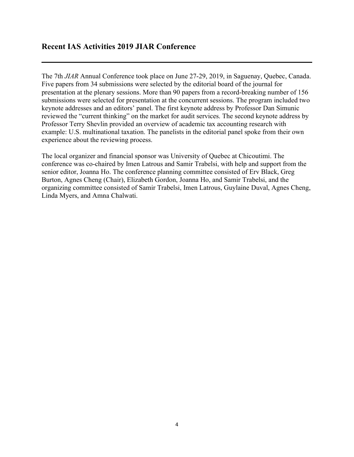### Recent IAS Activities 2019 JIAR Conference

The 7th JIAR Annual Conference took place on June 27-29, 2019, in Saguenay, Quebec, Canada. Five papers from 34 submissions were selected by the editorial board of the journal for presentation at the plenary sessions. More than 90 papers from a record-breaking number of 156 submissions were selected for presentation at the concurrent sessions. The program included two keynote addresses and an editors' panel. The first keynote address by Professor Dan Simunic reviewed the "current thinking" on the market for audit services. The second keynote address by Professor Terry Shevlin provided an overview of academic tax accounting research with example: U.S. multinational taxation. The panelists in the editorial panel spoke from their own experience about the reviewing process.

The local organizer and financial sponsor was University of Quebec at Chicoutimi. The conference was co-chaired by Imen Latrous and Samir Trabelsi, with help and support from the senior editor, Joanna Ho. The conference planning committee consisted of Erv Black, Greg Burton, Agnes Cheng (Chair), Elizabeth Gordon, Joanna Ho, and Samir Trabelsi, and the organizing committee consisted of Samir Trabelsi, Imen Latrous, Guylaine Duval, Agnes Cheng, Linda Myers, and Amna Chalwati.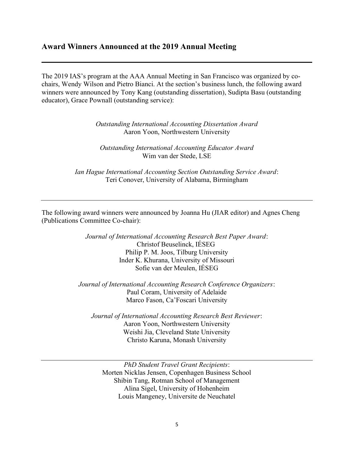#### Award Winners Announced at the 2019 Annual Meeting

The 2019 IAS's program at the AAA Annual Meeting in San Francisco was organized by cochairs, Wendy Wilson and Pietro Bianci. At the section's business lunch, the following award winners were announced by Tony Kang (outstanding dissertation), Sudipta Basu (outstanding educator), Grace Pownall (outstanding service):

> Outstanding International Accounting Dissertation Award Aaron Yoon, Northwestern University

Outstanding International Accounting Educator Award Wim van der Stede, LSE

Ian Hague International Accounting Section Outstanding Service Award: Teri Conover, University of Alabama, Birmingham

The following award winners were announced by Joanna Hu (JIAR editor) and Agnes Cheng (Publications Committee Co-chair):

> Journal of International Accounting Research Best Paper Award: Christof Beuselinck, IÉSEG Philip P. M. Joos, Tilburg University Inder K. Khurana, University of Missouri Sofie van der Meulen, IÉSEG

Journal of International Accounting Research Conference Organizers: Paul Coram, University of Adelaide Marco Fason, Ca'Foscari University

Journal of International Accounting Research Best Reviewer: Aaron Yoon, Northwestern University Weishi Jia, Cleveland State University Christo Karuna, Monash University

PhD Student Travel Grant Recipients: Morten Nicklas Jensen, Copenhagen Business School Shibin Tang, Rotman School of Management Alina Sigel, University of Hohenheim Louis Mangeney, Universite de Neuchatel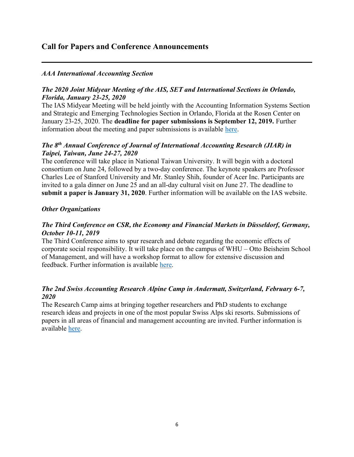## Call for Papers and Conference Announcements

#### AAA International Accounting Section

#### The 2020 Joint Midyear Meeting of the AIS, SET and International Sections in Orlando, Florida, January 23-25, 2020

The IAS Midyear Meeting will be held jointly with the Accounting Information Systems Section and Strategic and Emerging Technologies Section in Orlando, Florida at the Rosen Center on January 23-25, 2020. The deadline for paper submissions is September 12, 2019. Further information about the meeting and paper submissions is available here.

#### The 8<sup>th</sup> Annual Conference of Journal of International Accounting Research (JIAR) in Taipei, Taiwan, June 24-27, 2020

The conference will take place in National Taiwan University. It will begin with a doctoral consortium on June 24, followed by a two-day conference. The keynote speakers are Professor Charles Lee of Stanford University and Mr. Stanley Shih, founder of Acer Inc. Participants are invited to a gala dinner on June 25 and an all-day cultural visit on June 27. The deadline to submit a paper is January 31, 2020. Further information will be available on the IAS website.

#### Other Organizations

#### The Third Conference on CSR, the Economy and Financial Markets in Düsseldorf, Germany, October 10-11, 2019

The Third Conference aims to spur research and debate regarding the economic effects of corporate social responsibility. It will take place on the campus of WHU – Otto Beisheim School of Management, and will have a workshop format to allow for extensive discussion and feedback. Further information is available here.

#### The 2nd Swiss Accounting Research Alpine Camp in Andermatt, Switzerland, February 6-7, 2020

The Research Camp aims at bringing together researchers and PhD students to exchange research ideas and projects in one of the most popular Swiss Alps ski resorts. Submissions of papers in all areas of financial and management accounting are invited. Further information is available here.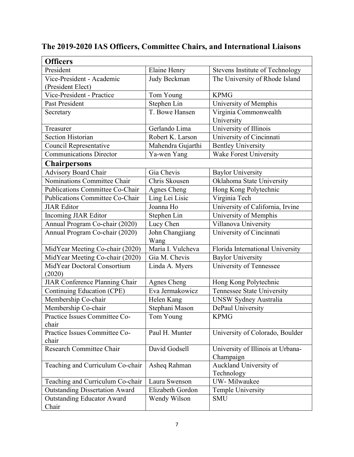| <b>Officers</b>                        |                     |                                   |
|----------------------------------------|---------------------|-----------------------------------|
| President                              | <b>Elaine Henry</b> | Stevens Institute of Technology   |
| Vice-President - Academic              | Judy Beckman        | The University of Rhode Island    |
| (President Elect)                      |                     |                                   |
| Vice-President - Practice              | Tom Young           | <b>KPMG</b>                       |
| Past President                         | Stephen Lin         | University of Memphis             |
| Secretary                              | T. Bowe Hansen      | Virginia Commonwealth             |
|                                        |                     | University                        |
| Treasurer                              | Gerlando Lima       | University of Illinois            |
| <b>Section Historian</b>               | Robert K. Larson    | University of Cincinnati          |
| Council Representative                 | Mahendra Gujarthi   | <b>Bentley University</b>         |
| <b>Communications Director</b>         | Ya-wen Yang         | <b>Wake Forest University</b>     |
| <b>Chairpersons</b>                    |                     |                                   |
| <b>Advisory Board Chair</b>            | Gia Chevis          | <b>Baylor University</b>          |
| Nominations Committee Chair            | Chris Skousen       | Oklahoma State University         |
| Publications Committee Co-Chair        | <b>Agnes Cheng</b>  | Hong Kong Polytechnic             |
| <b>Publications Committee Co-Chair</b> | Ling Lei Lisic      | Virginia Tech                     |
| <b>JIAR</b> Editor                     | Joanna Ho           | University of California, Irvine  |
| Incoming JIAR Editor                   | Stephen Lin         | University of Memphis             |
| Annual Program Co-chair (2020)         | Lucy Chen           | Villanova University              |
| Annual Program Co-chair (2020)         | John Changjiang     | University of Cincinnati          |
|                                        | Wang                |                                   |
| MidYear Meeting Co-chair (2020)        | Maria I. Vulcheva   | Florida International University  |
| MidYear Meeting Co-chair (2020)        | Gia M. Chevis       | <b>Baylor University</b>          |
| MidYear Doctoral Consortium            | Linda A. Myers      | University of Tennessee           |
| (2020)                                 |                     |                                   |
| JIAR Conference Planning Chair         | Agnes Cheng         | Hong Kong Polytechnic             |
| Continuing Education (CPE)             | Eva Jermakowicz     | Tennessee State University        |
| Membership Co-chair                    | Helen Kang          | UNSW Sydney Australia             |
| Membership Co-chair                    | Stephani Mason      | DePaul University                 |
| Practice Issues Committee Co-          | Tom Young           | <b>KPMG</b>                       |
| chair                                  |                     |                                   |
| Practice Issues Committee Co-          | Paul H. Munter      | University of Colorado, Boulder   |
| chair                                  |                     |                                   |
| Research Committee Chair               | David Godsell       | University of Illinois at Urbana- |
|                                        |                     | Champaign                         |
| Teaching and Curriculum Co-chair       | Asheq Rahman        | Auckland University of            |
|                                        | Laura Swenson       | Technology<br>UW-Milwaukee        |
| Teaching and Curriculum Co-chair       |                     |                                   |
| <b>Outstanding Dissertation Award</b>  | Elizabeth Gordon    | Temple University                 |
| <b>Outstanding Educator Award</b>      | Wendy Wilson        | <b>SMU</b>                        |
| Chair                                  |                     |                                   |

# The 2019-2020 IAS Officers, Committee Chairs, and International Liaisons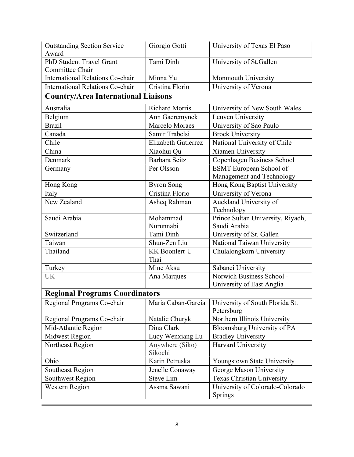| <b>Outstanding Section Service</b><br>Award | Giorgio Gotti              | University of Texas El Paso                |  |
|---------------------------------------------|----------------------------|--------------------------------------------|--|
| PhD Student Travel Grant                    | Tami Dinh                  | University of St.Gallen                    |  |
| Committee Chair                             |                            |                                            |  |
| <b>International Relations Co-chair</b>     | Minna Yu                   | Monmouth University                        |  |
| <b>International Relations Co-chair</b>     | Cristina Florio            | University of Verona                       |  |
| <b>Country/Area International Liaisons</b>  |                            |                                            |  |
| Australia                                   | <b>Richard Morris</b>      | University of New South Wales              |  |
| Belgium                                     | Ann Gaeremynck             | Leuven University                          |  |
| <b>Brazil</b>                               | Marcelo Moraes             | University of Sao Paulo                    |  |
| Canada                                      | Samir Trabelsi             | <b>Brock University</b>                    |  |
| Chile                                       | Elizabeth Gutierrez        | National University of Chile               |  |
| China                                       | Xiaohui Qu                 | Xiamen University                          |  |
| Denmark                                     | Barbara Seitz              | Copenhagen Business School                 |  |
| Germany                                     | Per Olsson                 | <b>ESMT</b> European School of             |  |
|                                             |                            | Management and Technology                  |  |
| Hong Kong                                   | <b>Byron Song</b>          | Hong Kong Baptist University               |  |
| Italy                                       | Cristina Florio            | University of Verona                       |  |
| New Zealand                                 | Asheq Rahman               | Auckland University of                     |  |
|                                             |                            | Technology                                 |  |
| Saudi Arabia                                | Mohammad                   | Prince Sultan University, Riyadh,          |  |
|                                             | Nurunnabi                  | Saudi Arabia                               |  |
| Switzerland                                 | Tami Dinh                  | University of St. Gallen                   |  |
| Taiwan                                      | Shun-Zen Liu               | National Taiwan University                 |  |
| Thailand                                    | KK Boonlert-U-<br>Thai     | Chulalongkorn University                   |  |
| Turkey                                      | Mine Aksu                  | Sabanci University                         |  |
| <b>UK</b>                                   | Ana Marques                | Norwich Business School -                  |  |
|                                             |                            | University of East Anglia                  |  |
| <b>Regional Programs Coordinators</b>       |                            |                                            |  |
| Regional Programs Co-chair                  | Maria Caban-Garcia         | University of South Florida St.            |  |
|                                             |                            | Petersburg                                 |  |
| Regional Programs Co-chair                  | Natalie Churyk             | Northern Illinois University               |  |
| Mid-Atlantic Region                         | Dina Clark                 | Bloomsburg University of PA                |  |
| Midwest Region                              | Lucy Wenxiang Lu           | <b>Bradley University</b>                  |  |
| Northeast Region                            | Anywhere (Siko)<br>Sikochi | Harvard University                         |  |
| Ohio                                        | Karin Petruska             | Youngstown State University                |  |
| Southeast Region                            | Jenelle Conaway            | George Mason University                    |  |
| Southwest Region                            | <b>Steve Lim</b>           | Texas Christian University                 |  |
| <b>Western Region</b>                       | Assma Sawani               | University of Colorado-Colorado<br>Springs |  |
|                                             |                            |                                            |  |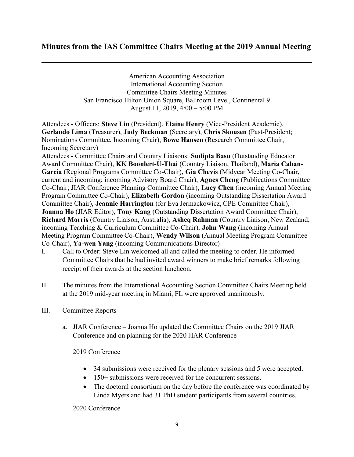# Minutes from the IAS Committee Chairs Meeting at the 2019 Annual Meeting

American Accounting Association International Accounting Section Committee Chairs Meeting Minutes San Francisco Hilton Union Square, Ballroom Level, Continental 9 August 11, 2019, 4:00 – 5:00 PM

Attendees - Officers: Steve Lin (President), Elaine Henry (Vice-President Academic), Gerlando Lima (Treasurer), Judy Beckman (Secretary), Chris Skousen (Past-President; Nominations Committee, Incoming Chair), Bowe Hansen (Research Committee Chair, Incoming Secretary)

Attendees - Committee Chairs and Country Liaisons: Sudipta Basu (Outstanding Educator Award Committee Chair), KK Boonlert-U-Thai (Country Liaison, Thailand), Maria Caban-Garcia (Regional Programs Committee Co-Chair), Gia Chevis (Midyear Meeting Co-Chair, current and incoming; incoming Advisory Board Chair), Agnes Cheng (Publications Committee Co-Chair; JIAR Conference Planning Committee Chair), Lucy Chen (incoming Annual Meeting Program Committee Co-Chair), Elizabeth Gordon (incoming Outstanding Dissertation Award Committee Chair), Jeannie Harrington (for Eva Jermackowicz, CPE Committee Chair), Joanna Ho (JIAR Editor), Tony Kang (Outstanding Dissertation Award Committee Chair), Richard Morris (Country Liaison, Australia), Asheq Rahman (Country Liaison, New Zealand; incoming Teaching & Curriculum Committee Co-Chair), John Wang (incoming Annual Meeting Program Committee Co-Chair), Wendy Wilson (Annual Meeting Program Committee Co-Chair), Ya-wen Yang (incoming Communications Director)

- I. Call to Order: Steve Lin welcomed all and called the meeting to order. He informed Committee Chairs that he had invited award winners to make brief remarks following receipt of their awards at the section luncheon.
- II. The minutes from the International Accounting Section Committee Chairs Meeting held at the 2019 mid-year meeting in Miami, FL were approved unanimously.
- III. Committee Reports
	- a. JIAR Conference Joanna Ho updated the Committee Chairs on the 2019 JIAR Conference and on planning for the 2020 JIAR Conference

2019 Conference

- 34 submissions were received for the plenary sessions and 5 were accepted.
- 150+ submissions were received for the concurrent sessions.
- The doctoral consortium on the day before the conference was coordinated by Linda Myers and had 31 PhD student participants from several countries.

2020 Conference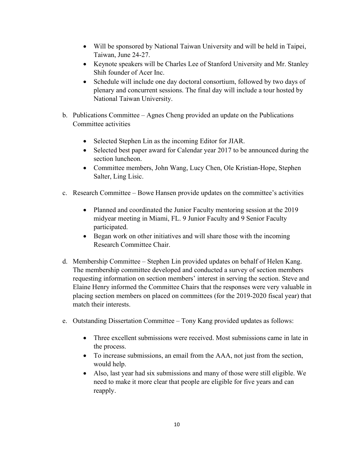- Will be sponsored by National Taiwan University and will be held in Taipei, Taiwan, June 24-27.
- Keynote speakers will be Charles Lee of Stanford University and Mr. Stanley Shih founder of Acer Inc.
- Schedule will include one day doctoral consortium, followed by two days of plenary and concurrent sessions. The final day will include a tour hosted by National Taiwan University.
- b. Publications Committee Agnes Cheng provided an update on the Publications Committee activities
	- Selected Stephen Lin as the incoming Editor for JIAR.
	- Selected best paper award for Calendar year 2017 to be announced during the section luncheon.
	- Committee members, John Wang, Lucy Chen, Ole Kristian-Hope, Stephen Salter, Ling Lisic.
- c. Research Committee Bowe Hansen provide updates on the committee's activities
	- Planned and coordinated the Junior Faculty mentoring session at the 2019 midyear meeting in Miami, FL. 9 Junior Faculty and 9 Senior Faculty participated.
	- Began work on other initiatives and will share those with the incoming Research Committee Chair.
- d. Membership Committee Stephen Lin provided updates on behalf of Helen Kang. The membership committee developed and conducted a survey of section members requesting information on section members' interest in serving the section. Steve and Elaine Henry informed the Committee Chairs that the responses were very valuable in placing section members on placed on committees (for the 2019-2020 fiscal year) that match their interests.
- e. Outstanding Dissertation Committee Tony Kang provided updates as follows:
	- Three excellent submissions were received. Most submissions came in late in the process.
	- To increase submissions, an email from the AAA, not just from the section, would help.
	- Also, last year had six submissions and many of those were still eligible. We need to make it more clear that people are eligible for five years and can reapply.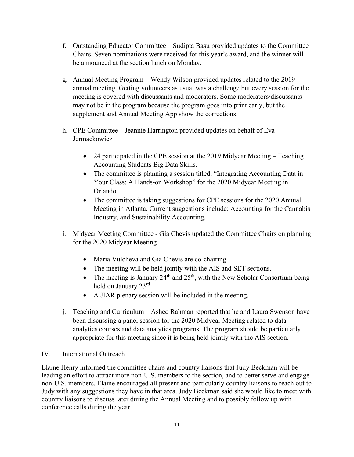- f. Outstanding Educator Committee Sudipta Basu provided updates to the Committee Chairs. Seven nominations were received for this year's award, and the winner will be announced at the section lunch on Monday.
- g. Annual Meeting Program Wendy Wilson provided updates related to the 2019 annual meeting. Getting volunteers as usual was a challenge but every session for the meeting is covered with discussants and moderators. Some moderators/discussants may not be in the program because the program goes into print early, but the supplement and Annual Meeting App show the corrections.
- h. CPE Committee Jeannie Harrington provided updates on behalf of Eva Jermackowicz
	- 24 participated in the CPE session at the 2019 Midyear Meeting Teaching Accounting Students Big Data Skills.
	- The committee is planning a session titled, "Integrating Accounting Data in Your Class: A Hands-on Workshop" for the 2020 Midyear Meeting in Orlando.
	- The committee is taking suggestions for CPE sessions for the 2020 Annual Meeting in Atlanta. Current suggestions include: Accounting for the Cannabis Industry, and Sustainability Accounting.
- i. Midyear Meeting Committee Gia Chevis updated the Committee Chairs on planning for the 2020 Midyear Meeting
	- Maria Vulcheva and Gia Chevis are co-chairing.
	- The meeting will be held jointly with the AIS and SET sections.
	- The meeting is January 24<sup>th</sup> and 25<sup>th</sup>, with the New Scholar Consortium being held on January 23rd
	- A JIAR plenary session will be included in the meeting.
- j. Teaching and Curriculum Asheq Rahman reported that he and Laura Swenson have been discussing a panel session for the 2020 Midyear Meeting related to data analytics courses and data analytics programs. The program should be particularly appropriate for this meeting since it is being held jointly with the AIS section.

#### IV. International Outreach

Elaine Henry informed the committee chairs and country liaisons that Judy Beckman will be leading an effort to attract more non-U.S. members to the section, and to better serve and engage non-U.S. members. Elaine encouraged all present and particularly country liaisons to reach out to Judy with any suggestions they have in that area. Judy Beckman said she would like to meet with country liaisons to discuss later during the Annual Meeting and to possibly follow up with conference calls during the year.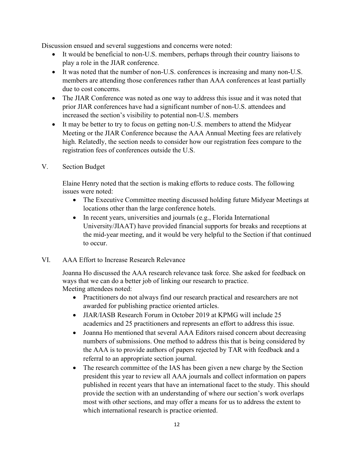Discussion ensued and several suggestions and concerns were noted:

- It would be beneficial to non-U.S. members, perhaps through their country liaisons to play a role in the JIAR conference.
- It was noted that the number of non-U.S. conferences is increasing and many non-U.S. members are attending those conferences rather than AAA conferences at least partially due to cost concerns.
- The JIAR Conference was noted as one way to address this issue and it was noted that prior JIAR conferences have had a significant number of non-U.S. attendees and increased the section's visibility to potential non-U.S. members
- It may be better to try to focus on getting non-U.S. members to attend the Midyear Meeting or the JIAR Conference because the AAA Annual Meeting fees are relatively high. Relatedly, the section needs to consider how our registration fees compare to the registration fees of conferences outside the U.S.
- V. Section Budget

Elaine Henry noted that the section is making efforts to reduce costs. The following issues were noted:

- The Executive Committee meeting discussed holding future Midyear Meetings at locations other than the large conference hotels.
- In recent years, universities and journals (e.g., Florida International University/JIAAT) have provided financial supports for breaks and receptions at the mid-year meeting, and it would be very helpful to the Section if that continued to occur.
- VI. AAA Effort to Increase Research Relevance

Joanna Ho discussed the AAA research relevance task force. She asked for feedback on ways that we can do a better job of linking our research to practice. Meeting attendees noted:

- Practitioners do not always find our research practical and researchers are not awarded for publishing practice oriented articles.
- JIAR/IASB Research Forum in October 2019 at KPMG will include 25 academics and 25 practitioners and represents an effort to address this issue.
- Joanna Ho mentioned that several AAA Editors raised concern about decreasing numbers of submissions. One method to address this that is being considered by the AAA is to provide authors of papers rejected by TAR with feedback and a referral to an appropriate section journal.
- The research committee of the IAS has been given a new charge by the Section president this year to review all AAA journals and collect information on papers published in recent years that have an international facet to the study. This should provide the section with an understanding of where our section's work overlaps most with other sections, and may offer a means for us to address the extent to which international research is practice oriented.